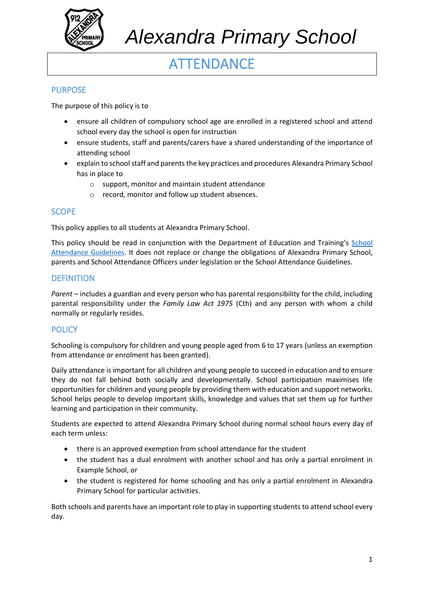

# **ATTENDANCE**

# **PURPOSE**

The purpose of this policy is to

- ensure all children of compulsory school age are enrolled in a registered school and attend school every day the school is open for instruction
- ensure students, staff and parents/carers have a shared understanding of the importance of attending school
- explain to school staff and parents the key practices and procedures Alexandra Primary School has in place to
	- o support, monitor and maintain student attendance
	- o record, monitor and follow up student absences.

# **SCOPE**

This policy applies to all students at Alexandra Primary School.

This policy should be read in conjunction with the Department of Education and Training's [School](https://www2.education.vic.gov.au/pal/attendance/guidance)  [Attendance Guidelines.](https://www2.education.vic.gov.au/pal/attendance/guidance) It does not replace or change the obligations of Alexandra Primary School, parents and School Attendance Officers under legislation or the School Attendance Guidelines.

### **DEFINITION**

*Parent* – includes a guardian and every person who has parental responsibility for the child, including parental responsibility under the *Family Law Act 1975* (Cth) and any person with whom a child normally or regularly resides.

### **POLICY**

Schooling is compulsory for children and young people aged from 6 to 17 years (unless an exemption from attendance or enrolment has been granted).

Daily attendance is important for all children and young people to succeed in education and to ensure they do not fall behind both socially and developmentally. School participation maximises life opportunities for children and young people by providing them with education and support networks. School helps people to develop important skills, knowledge and values that set them up for further learning and participation in their community.

Students are expected to attend Alexandra Primary School during normal school hours every day of each term unless:

- there is an approved exemption from school attendance for the student
- the student has a dual enrolment with another school and has only a partial enrolment in Example School, or
- the student is registered for home schooling and has only a partial enrolment in Alexandra Primary School for particular activities.

Both schools and parents have an important role to play in supporting students to attend school every day.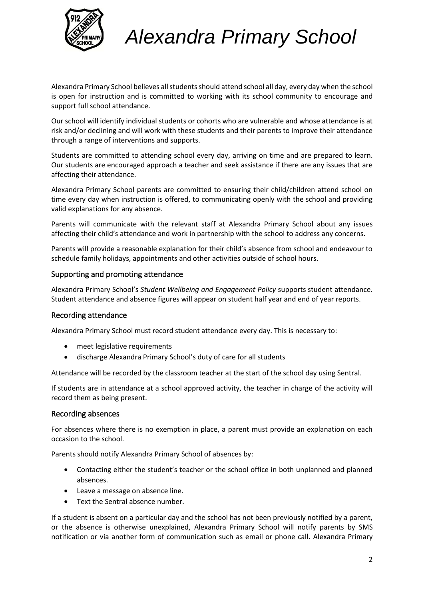

Alexandra Primary School believes all studentsshould attend school all day, every day when the school is open for instruction and is committed to working with its school community to encourage and support full school attendance.

Our school will identify individual students or cohorts who are vulnerable and whose attendance is at risk and/or declining and will work with these students and their parents to improve their attendance through a range of interventions and supports.

Students are committed to attending school every day, arriving on time and are prepared to learn. Our students are encouraged approach a teacher and seek assistance if there are any issues that are affecting their attendance.

Alexandra Primary School parents are committed to ensuring their child/children attend school on time every day when instruction is offered, to communicating openly with the school and providing valid explanations for any absence.

Parents will communicate with the relevant staff at Alexandra Primary School about any issues affecting their child's attendance and work in partnership with the school to address any concerns.

Parents will provide a reasonable explanation for their child's absence from school and endeavour to schedule family holidays, appointments and other activities outside of school hours.

#### Supporting and promoting attendance

Alexandra Primary School's *Student Wellbeing and Engagement Policy* supports student attendance. Student attendance and absence figures will appear on student half year and end of year reports.

#### Recording attendance

Alexandra Primary School must record student attendance every day. This is necessary to:

- meet legislative requirements
- discharge Alexandra Primary School's duty of care for all students

Attendance will be recorded by the classroom teacher at the start of the school day using Sentral.

If students are in attendance at a school approved activity, the teacher in charge of the activity will record them as being present.

#### Recording absences

For absences where there is no exemption in place, a parent must provide an explanation on each occasion to the school.

Parents should notify Alexandra Primary School of absences by:

- Contacting either the student's teacher or the school office in both unplanned and planned absences.
- Leave a message on absence line.
- Text the Sentral absence number.

If a student is absent on a particular day and the school has not been previously notified by a parent, or the absence is otherwise unexplained, Alexandra Primary School will notify parents by SMS notification or via another form of communication such as email or phone call. Alexandra Primary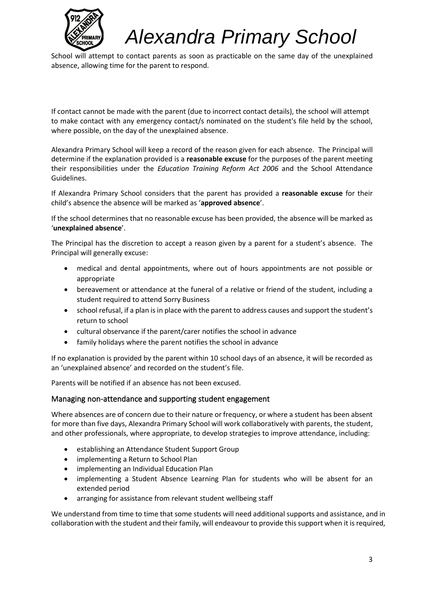

School will attempt to contact parents as soon as practicable on the same day of the unexplained absence, allowing time for the parent to respond.

If contact cannot be made with the parent (due to incorrect contact details), the school will attempt to make contact with any emergency contact/s nominated on the student's file held by the school, where possible, on the day of the unexplained absence.

Alexandra Primary School will keep a record of the reason given for each absence. The Principal will determine if the explanation provided is a **reasonable excuse** for the purposes of the parent meeting their responsibilities under the *Education Training Reform Act 2006* and the School Attendance Guidelines.

If Alexandra Primary School considers that the parent has provided a **reasonable excuse** for their child's absence the absence will be marked as '**approved absence**'.

If the school determines that no reasonable excuse has been provided, the absence will be marked as '**unexplained absence**'.

The Principal has the discretion to accept a reason given by a parent for a student's absence. The Principal will generally excuse:

- medical and dental appointments, where out of hours appointments are not possible or appropriate
- bereavement or attendance at the funeral of a relative or friend of the student, including a student required to attend Sorry Business
- school refusal, if a plan is in place with the parent to address causes and support the student's return to school
- cultural observance if the parent/carer notifies the school in advance
- family holidays where the parent notifies the school in advance

If no explanation is provided by the parent within 10 school days of an absence, it will be recorded as an 'unexplained absence' and recorded on the student's file.

Parents will be notified if an absence has not been excused.

#### Managing non-attendance and supporting student engagement

Where absences are of concern due to their nature or frequency, or where a student has been absent for more than five days, Alexandra Primary School will work collaboratively with parents, the student, and other professionals, where appropriate, to develop strategies to improve attendance, including:

- establishing an Attendance Student Support Group
- implementing a Return to School Plan
- implementing an Individual Education Plan
- implementing a Student Absence Learning Plan for students who will be absent for an extended period
- arranging for assistance from relevant student wellbeing staff

We understand from time to time that some students will need additional supports and assistance, and in collaboration with the student and their family, will endeavour to provide this support when it is required,